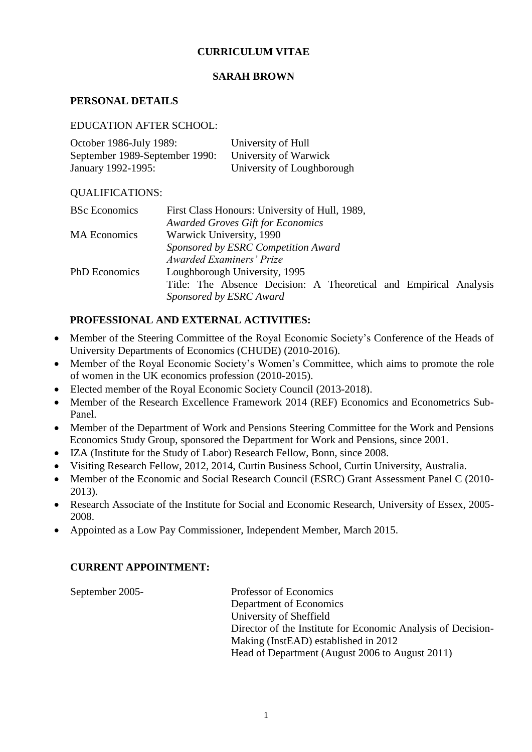# **CURRICULUM VITAE**

## **SARAH BROWN**

# **PERSONAL DETAILS**

#### EDUCATION AFTER SCHOOL:

| October 1986-July 1989:        | University of Hull         |
|--------------------------------|----------------------------|
| September 1989-September 1990: | University of Warwick      |
| January 1992-1995:             | University of Loughborough |

### QUALIFICATIONS:

| <b>BSc</b> Economics                | First Class Honours: University of Hull, 1989,                    |  |
|-------------------------------------|-------------------------------------------------------------------|--|
|                                     | <b>Awarded Groves Gift for Economics</b>                          |  |
| <b>MA</b> Economics                 | Warwick University, 1990                                          |  |
| Sponsored by ESRC Competition Award |                                                                   |  |
|                                     | Awarded Examiners' Prize                                          |  |
| <b>PhD</b> Economics                | Loughborough University, 1995                                     |  |
|                                     | Title: The Absence Decision: A Theoretical and Empirical Analysis |  |
|                                     | Sponsored by ESRC Award                                           |  |

## **PROFESSIONAL AND EXTERNAL ACTIVITIES:**

- Member of the Steering Committee of the Royal Economic Society's Conference of the Heads of University Departments of Economics (CHUDE) (2010-2016).
- Member of the Royal Economic Society's Women's Committee, which aims to promote the role of women in the UK economics profession (2010-2015).
- Elected member of the Royal Economic Society Council (2013-2018).
- Member of the Research Excellence Framework 2014 (REF) Economics and Econometrics Sub-Panel.
- Member of the Department of Work and Pensions Steering Committee for the Work and Pensions Economics Study Group, sponsored the Department for Work and Pensions, since 2001.
- IZA (Institute for the Study of Labor) Research Fellow, Bonn, since 2008.
- Visiting Research Fellow, 2012, 2014, Curtin Business School, Curtin University, Australia.
- Member of the Economic and Social Research Council (ESRC) Grant Assessment Panel C (2010- 2013).
- Research Associate of the Institute for Social and Economic Research, University of Essex, 2005- 2008.
- Appointed as a Low Pay Commissioner, Independent Member, March 2015.

# **CURRENT APPOINTMENT:**

September 2005- Professor of Economics Department of Economics University of Sheffield Director of the Institute for Economic Analysis of Decision-Making (InstEAD) established in 2012 Head of Department (August 2006 to August 2011)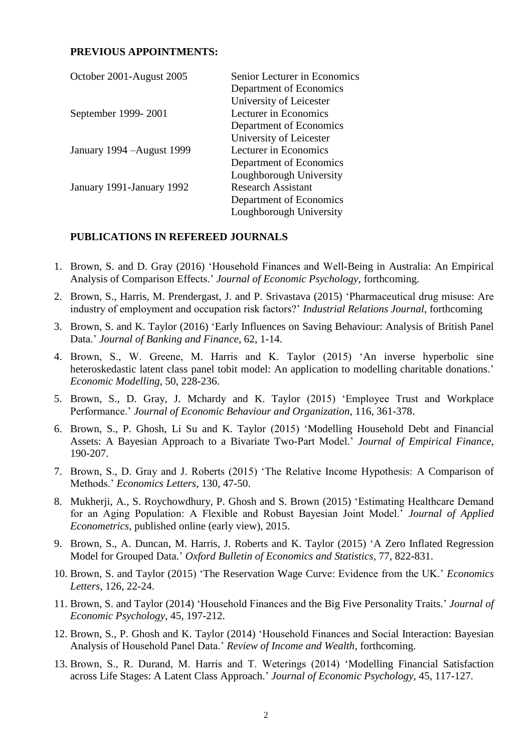### **PREVIOUS APPOINTMENTS:**

| October 2001-August 2005   | Senior Lecturer in Economics |
|----------------------------|------------------------------|
|                            | Department of Economics      |
|                            | University of Leicester      |
| September 1999-2001        | Lecturer in Economics        |
|                            | Department of Economics      |
|                            | University of Leicester      |
| January 1994 – August 1999 | Lecturer in Economics        |
|                            | Department of Economics      |
|                            | Loughborough University      |
| January 1991-January 1992  | <b>Research Assistant</b>    |
|                            | Department of Economics      |
|                            | Loughborough University      |

#### **PUBLICATIONS IN REFEREED JOURNALS**

- 1. Brown, S. and D. Gray (2016) 'Household Finances and Well-Being in Australia: An Empirical Analysis of Comparison Effects.' *Journal of Economic Psychology*, forthcoming.
- 2. Brown, S., Harris, M. Prendergast, J. and P. Srivastava (2015) 'Pharmaceutical drug misuse: Are industry of employment and occupation risk factors?' *Industrial Relations Journal*, forthcoming
- 3. Brown, S. and K. Taylor (2016) 'Early Influences on Saving Behaviour: Analysis of British Panel Data.' *Journal of Banking and Finance*, 62, 1-14.
- 4. Brown, S., W. Greene, M. Harris and K. Taylor (2015) 'An inverse hyperbolic sine heteroskedastic latent class panel tobit model: An application to modelling charitable donations.' *Economic Modelling*, 50, 228-236.
- 5. Brown, S., D. Gray, J. Mchardy and K. Taylor (2015) 'Employee Trust and Workplace Performance.' *Journal of Economic Behaviour and Organization*, 116, 361-378.
- 6. Brown, S., P. Ghosh, Li Su and K. Taylor (2015) 'Modelling Household Debt and Financial Assets: A Bayesian Approach to a Bivariate Two-Part Model.' *Journal of Empirical Finance*, 190-207.
- 7. Brown, S., D. Gray and J. Roberts (2015) 'The Relative Income Hypothesis: A Comparison of Methods.' *Economics Letters*, 130, 47-50.
- 8. Mukherji, A., S. Roychowdhury, P. Ghosh and S. Brown (2015) 'Estimating Healthcare Demand for an Aging Population: A Flexible and Robust Bayesian Joint Model.' *Journal of Applied Econometrics*, published online (early view), 2015.
- 9. Brown, S., A. Duncan, M. Harris, J. Roberts and K. Taylor (2015) 'A Zero Inflated Regression Model for Grouped Data.' *Oxford Bulletin of Economics and Statistics*, 77, 822-831.
- 10. Brown, S. and Taylor (2015) 'The Reservation Wage Curve: Evidence from the UK.' *Economics Letters*, 126, 22-24.
- 11. Brown, S. and Taylor (2014) 'Household Finances and the Big Five Personality Traits.' *Journal of Economic Psychology*, 45, 197-212.
- 12. Brown, S., P. Ghosh and K. Taylor (2014) 'Household Finances and Social Interaction: Bayesian Analysis of Household Panel Data.' *Review of Income and Wealth*, forthcoming.
- 13. Brown, S., R. Durand, M. Harris and T. Weterings (2014) 'Modelling Financial Satisfaction across Life Stages: A Latent Class Approach.' *Journal of Economic Psychology*, 45, 117-127.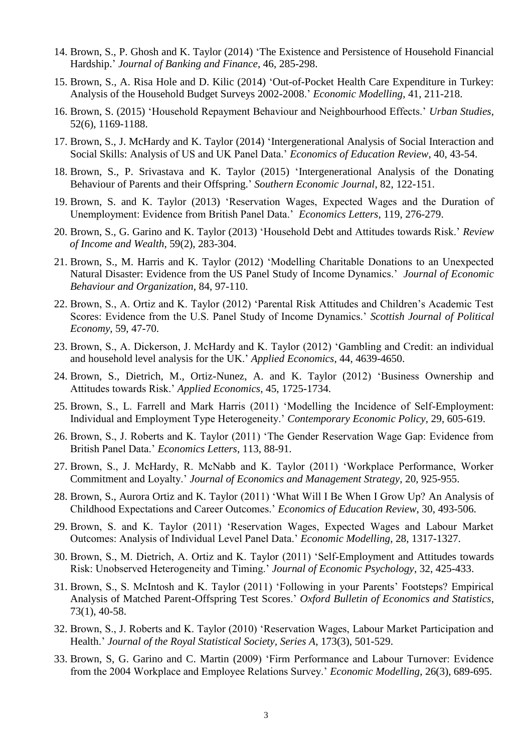- 14. Brown, S., P. Ghosh and K. Taylor (2014) 'The Existence and Persistence of Household Financial Hardship.' *Journal of Banking and Finance*, 46, 285-298.
- 15. Brown, S., A. Risa Hole and D. Kilic (2014) 'Out-of-Pocket Health Care Expenditure in Turkey: Analysis of the Household Budget Surveys 2002-2008.' *Economic Modelling*, 41, 211-218.
- 16. Brown, S. (2015) 'Household Repayment Behaviour and Neighbourhood Effects.' *Urban Studies*, 52(6), 1169-1188.
- 17. Brown, S., J. McHardy and K. Taylor (2014) 'Intergenerational Analysis of Social Interaction and Social Skills: Analysis of US and UK Panel Data.' *Economics of Education Review*, 40, 43-54.
- 18. Brown, S., P. Srivastava and K. Taylor (2015) 'Intergenerational Analysis of the Donating Behaviour of Parents and their Offspring.' *Southern Economic Journal*, 82, 122-151.
- 19. Brown, S. and K. Taylor (2013) 'Reservation Wages, Expected Wages and the Duration of Unemployment: Evidence from British Panel Data.' *Economics Letters*, 119, 276-279.
- 20. Brown, S., G. Garino and K. Taylor (2013) 'Household Debt and Attitudes towards Risk.' *Review of Income and Wealth*, 59(2), 283-304.
- 21. Brown, S., M. Harris and K. Taylor (2012) 'Modelling Charitable Donations to an Unexpected Natural Disaster: Evidence from the US Panel Study of Income Dynamics.' *Journal of Economic Behaviour and Organization*, 84, 97-110.
- 22. Brown, S., A. Ortiz and K. Taylor (2012) 'Parental Risk Attitudes and Children's Academic Test Scores: Evidence from the U.S. Panel Study of Income Dynamics.' *Scottish Journal of Political Economy*, 59, 47-70.
- 23. Brown, S., A. Dickerson, J. McHardy and K. Taylor (2012) 'Gambling and Credit: an individual and household level analysis for the UK.' *Applied Economics*, 44, 4639-4650.
- 24. Brown, S., Dietrich, M., Ortiz-Nunez, A. and K. Taylor (2012) 'Business Ownership and Attitudes towards Risk.' *Applied Economics*, 45, 1725-1734.
- 25. Brown, S., L. Farrell and Mark Harris (2011) 'Modelling the Incidence of Self-Employment: Individual and Employment Type Heterogeneity.' *Contemporary Economic Policy*, 29, 605-619.
- 26. Brown, S., J. Roberts and K. Taylor (2011) 'The Gender Reservation Wage Gap: Evidence from British Panel Data.' *Economics Letters*, 113, 88-91.
- 27. Brown, S., J. McHardy, R. McNabb and K. Taylor (2011) 'Workplace Performance, Worker Commitment and Loyalty.' *Journal of Economics and Management Strategy*, 20, 925-955.
- 28. Brown, S., Aurora Ortiz and K. Taylor (2011) 'What Will I Be When I Grow Up? An Analysis of Childhood Expectations and Career Outcomes.' *Economics of Education Review*, 30, 493-506.
- 29. Brown, S. and K. Taylor (2011) 'Reservation Wages, Expected Wages and Labour Market Outcomes: Analysis of Individual Level Panel Data.' *Economic Modelling*, 28, 1317-1327.
- 30. Brown, S., M. Dietrich, A. Ortiz and K. Taylor (2011) 'Self-Employment and Attitudes towards Risk: Unobserved Heterogeneity and Timing.' *Journal of Economic Psychology*, 32, 425-433.
- 31. Brown, S., S. McIntosh and K. Taylor (2011) 'Following in your Parents' Footsteps? Empirical Analysis of Matched Parent-Offspring Test Scores.' *Oxford Bulletin of Economics and Statistics*, 73(1), 40-58.
- 32. Brown, S., J. Roberts and K. Taylor (2010) 'Reservation Wages, Labour Market Participation and Health.' *Journal of the Royal Statistical Society, Series A*, 173(3), 501-529.
- 33. Brown, S, G. Garino and C. Martin (2009) 'Firm Performance and Labour Turnover: Evidence from the 2004 Workplace and Employee Relations Survey.' *Economic Modelling*, 26(3), 689-695.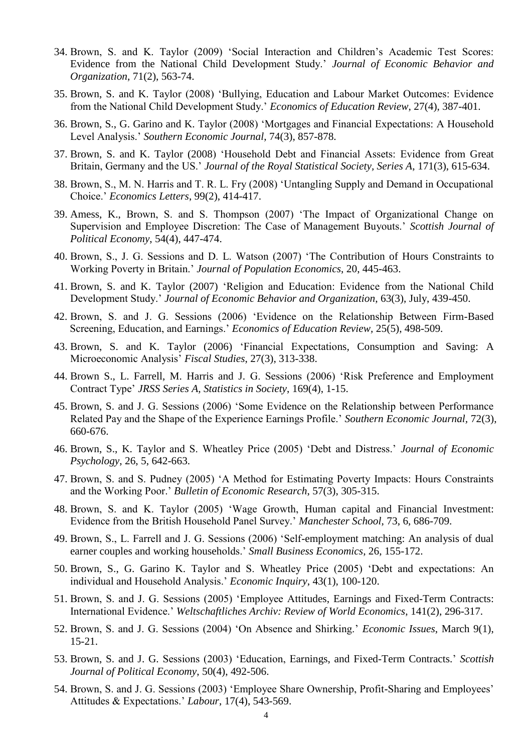- 34. Brown, S. and K. Taylor (2009) 'Social Interaction and Children's Academic Test Scores: Evidence from the National Child Development Study.' *Journal of Economic Behavior and Organization*, 71(2), 563-74.
- 35. Brown, S. and K. Taylor (2008) 'Bullying, Education and Labour Market Outcomes: Evidence from the National Child Development Study.' *Economics of Education Review*, 27(4), 387-401.
- 36. Brown, S., G. Garino and K. Taylor (2008) 'Mortgages and Financial Expectations: A Household Level Analysis.' *Southern Economic Journal*, 74(3), 857-878.
- 37. Brown, S. and K. Taylor (2008) 'Household Debt and Financial Assets: Evidence from Great Britain, Germany and the US.' *Journal of the Royal Statistical Society, Series A*, 171(3), 615-634.
- 38. Brown, S., M. N. Harris and T. R. L. Fry (2008) 'Untangling Supply and Demand in Occupational Choice.' *Economics Letters*, 99(2), 414-417.
- 39. Amess, K., Brown, S. and S. Thompson (2007) 'The Impact of Organizational Change on Supervision and Employee Discretion: The Case of Management Buyouts.' *Scottish Journal of Political Economy*, 54(4), 447-474.
- 40. Brown, S., J. G. Sessions and D. L. Watson (2007) 'The Contribution of Hours Constraints to Working Poverty in Britain.' *Journal of Population Economics*, 20, 445-463.
- 41. Brown, S. and K. Taylor (2007) 'Religion and Education: Evidence from the National Child Development Study.' *Journal of Economic Behavior and Organization*, 63(3), July, 439-450.
- 42. Brown, S. and J. G. Sessions (2006) 'Evidence on the Relationship Between Firm-Based Screening, Education, and Earnings.' *Economics of Education Review,* 25(5), 498-509.
- 43. Brown, S. and K. Taylor (2006) 'Financial Expectations, Consumption and Saving: A Microeconomic Analysis' *Fiscal Studies*, 27(3), 313-338.
- 44. Brown S., L. Farrell, M. Harris and J. G. Sessions (2006) 'Risk Preference and Employment Contract Type' *JRSS Series A, Statistics in Society*, 169(4), 1-15.
- 45. Brown, S. and J. G. Sessions (2006) 'Some Evidence on the Relationship between Performance Related Pay and the Shape of the Experience Earnings Profile.' *Southern Economic Journal,* 72(3), 660-676.
- 46. Brown, S., K. Taylor and S. Wheatley Price (2005) 'Debt and Distress.' *Journal of Economic Psychology*, 26, 5, 642-663.
- 47. Brown, S. and S. Pudney (2005) 'A Method for Estimating Poverty Impacts: Hours Constraints and the Working Poor.' *Bulletin of Economic Research*, 57(3), 305-315.
- 48. Brown, S. and K. Taylor (2005) 'Wage Growth, Human capital and Financial Investment: Evidence from the British Household Panel Survey.' *Manchester School*, 73, 6, 686-709.
- 49. Brown, S., L. Farrell and J. G. Sessions (2006) 'Self-employment matching: An analysis of dual earner couples and working households.' *Small Business Economics*, 26, 155-172.
- 50. Brown, S., G. Garino K. Taylor and S. Wheatley Price (2005) 'Debt and expectations: An individual and Household Analysis.' *Economic Inquiry*, 43(1), 100-120.
- 51. Brown, S. and J. G. Sessions (2005) 'Employee Attitudes, Earnings and Fixed-Term Contracts: International Evidence.' *Weltschaftliches Archiv: Review of World Economics*, 141(2), 296-317.
- 52. Brown, S. and J. G. Sessions (2004) 'On Absence and Shirking.' *Economic Issues*, March 9(1), 15-21.
- 53. Brown, S. and J. G. Sessions (2003) 'Education, Earnings, and Fixed-Term Contracts.' *Scottish Journal of Political Economy*, 50(4), 492-506.
- 54. Brown, S. and J. G. Sessions (2003) 'Employee Share Ownership, Profit-Sharing and Employees' Attitudes & Expectations.' *Labour*, 17(4), 543-569.